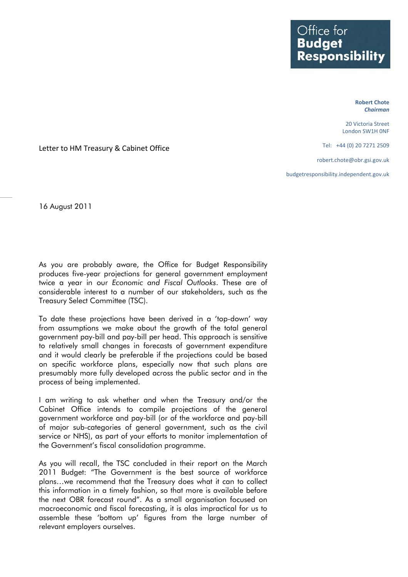**Robert Chote** *Chairman*

20 Victoria Street London SW1H 0NF

Tel: +44 (0) 20 7271 2509

robert.chote@obr.gsi.gov.uk

budgetresponsibility.independent.gov.uk

Letter to HM Treasury & Cabinet Office

16 August 2011

As you are probably aware, the Office for Budget Responsibility produces five-year projections for general government employment twice a year in our *Economic and Fiscal Outlooks*. These are of considerable interest to a number of our stakeholders, such as the Treasury Select Committee (TSC).

To date these projections have been derived in a 'top-down' way from assumptions we make about the growth of the total general government pay-bill and pay-bill per head. This approach is sensitive to relatively small changes in forecasts of government expenditure and it would clearly be preferable if the projections could be based on specific workforce plans, especially now that such plans are presumably more fully developed across the public sector and in the process of being implemented.

I am writing to ask whether and when the Treasury and/or the Cabinet Office intends to compile projections of the general government workforce and pay-bill (or of the workforce and pay-bill of major sub-categories of general government, such as the civil service or NHS), as part of your efforts to monitor implementation of the Government's fiscal consolidation programme.

As you will recall, the TSC concluded in their report on the March 2011 Budget: "The Government is the best source of workforce plans…we recommend that the Treasury does what it can to collect this information in a timely fashion, so that more is available before the next OBR forecast round". As a small organisation focused on macroeconomic and fiscal forecasting, it is alas impractical for us to assemble these 'bottom up' figures from the large number of relevant employers ourselves.